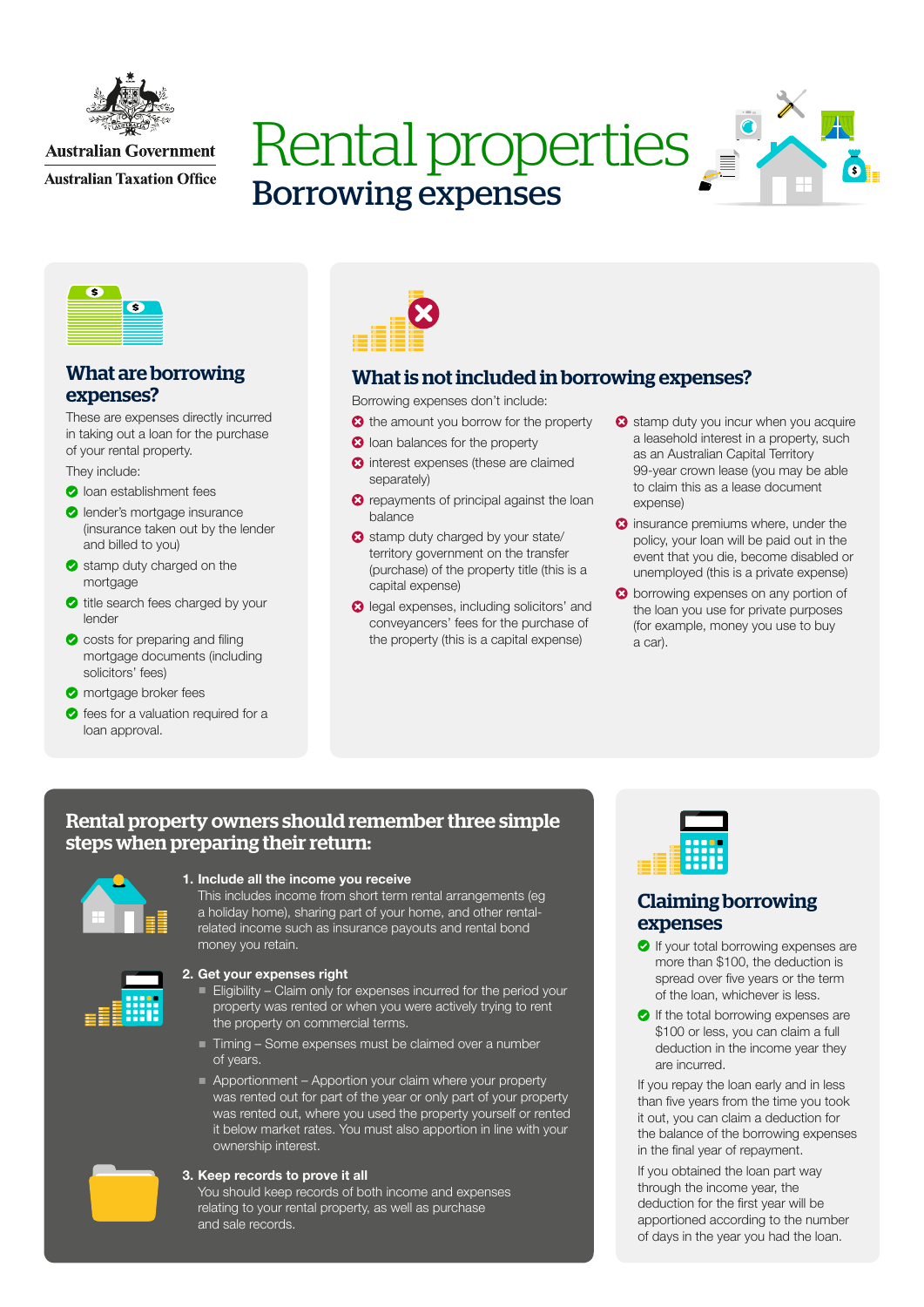

## **Australian Government**

**Australian Taxation Office** 

# Rental properties Borrowing expenses





## What are borrowing expenses?

These are expenses directly incurred in taking out a loan for the purchase of your rental property.

They include:

- **O** loan establishment fees
- **O** lender's mortgage insurance (insurance taken out by the lender and billed to you)
- stamp duty charged on the mortgage
- title search fees charged by your lender
- costs for preparing and filing mortgage documents (including solicitors' fees)

**O** mortgage broker fees

**o** fees for a valuation required for a loan approval.



# What is not included in borrowing expenses?

Borrowing expenses don't include:

- the amount you borrow for the property
- **3** loan balances for the property
- **3** interest expenses (these are claimed separately)
- **3** repayments of principal against the loan balance
- Stamp duty charged by your state/ territory government on the transfer (purchase) of the property title (this is a capital expense)
- **2** legal expenses, including solicitors' and conveyancers' fees for the purchase of the property (this is a capital expense)
- Stamp duty you incur when you acquire a leasehold interest in a property, such as an Australian Capital Territory 99-year crown lease (you may be able to claim this as a lease document expense)
- **3** insurance premiums where, under the policy, your loan will be paid out in the event that you die, become disabled or unemployed (this is a private expense)
- **3** borrowing expenses on any portion of the loan you use for private purposes (for example, money you use to buy a car).

## Rental property owners should remember three simple steps when preparing their return:



## 1. Include all the income you receive

This includes income from short term rental arrangements (eg a holiday home), sharing part of your home, and other rentalrelated income such as insurance payouts and rental bond money you retain.



#### 2. Get your expenses right

- Eligibility Claim only for expenses incurred for the period your property was rented or when you were actively trying to rent the property on commercial terms.
- Timing Some expenses must be claimed over a number of years.
- Apportionment Apportion your claim where your property was rented out for part of the year or only part of your property was rented out, where you used the property yourself or rented it below market rates. You must also apportion in line with your ownership interest.



#### 3. Keep records to prove it all

You should keep records of both income and expenses relating to your rental property, as well as purchase and sale records.



# Claiming borrowing expenses

- If your total borrowing expenses are more than \$100, the deduction is spread over five years or the term of the loan, whichever is less.
- $\bullet$  If the total borrowing expenses are \$100 or less, you can claim a full deduction in the income year they are incurred.

If you repay the loan early and in less than five years from the time you took it out, you can claim a deduction for the balance of the borrowing expenses in the final year of repayment.

If you obtained the loan part way through the income year, the deduction for the first year will be apportioned according to the number of days in the year you had the loan.